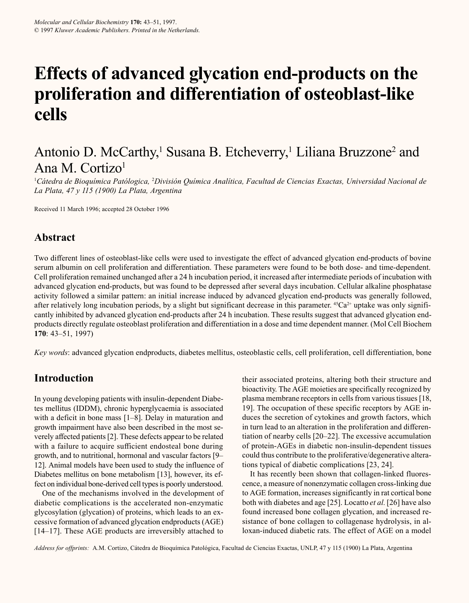# **Effects of advanced glycation end-products on the proliferation and differentiation of osteoblast-like cells**

## Antonio D. McCarthy,<sup>1</sup> Susana B. Etcheverry,<sup>1</sup> Liliana Bruzzone<sup>2</sup> and Ana M. Cortizo<sup>1</sup>

<sup>1</sup>Cátedra de Bioquímica Patólogica, <sup>2</sup>División Química Analítica, Facultad de Ciencias Exactas, Universidad Nacional de *La Plata, 47 y 115 (1900) La Plata, Argentina*

Received 11 March 1996; accepted 28 October 1996

## **Abstract**

Two different lines of osteoblast-like cells were used to investigate the effect of advanced glycation end-products of bovine serum albumin on cell proliferation and differentiation. These parameters were found to be both dose- and time-dependent. Cell proliferation remained unchanged after a 24 h incubation period, it increased after intermediate periods of incubation with advanced glycation end-products, but was found to be depressed after several days incubation. Cellular alkaline phosphatase activity followed a similar pattern: an initial increase induced by advanced glycation end-products was generally followed, after relatively long incubation periods, by a slight but significant decrease in this parameter.  $^{45}Ca^{2+}$  uptake was only significantly inhibited by advanced glycation end-products after 24 h incubation. These results suggest that advanced glycation endproducts directly regulate osteoblast proliferation and differentiation in a dose and time dependent manner. (Mol Cell Biochem **170**: 43–51, 1997)

*Key words*: advanced glycation endproducts, diabetes mellitus, osteoblastic cells, cell proliferation, cell differentiation, bone

## **Introduction**

In young developing patients with insulin-dependent Diabetes mellitus (IDDM), chronic hyperglycaemia is associated with a deficit in bone mass [1–8]. Delay in maturation and growth impairment have also been described in the most severely affected patients [2]. These defects appear to be related with a failure to acquire sufficient endosteal bone during growth, and to nutritional, hormonal and vascular factors [9– 12]. Animal models have been used to study the influence of Diabetes mellitus on bone metabolism [13], however, its effect on individual bone-derived cell types is poorly understood.

One of the mechanisms involved in the development of diabetic complications is the accelerated non-enzymatic glycosylation (glycation) of proteins, which leads to an excessive formation of advanced glycation endproducts (AGE) [14–17]. These AGE products are irreversibly attached to

their associated proteins, altering both their structure and bioactivity. The AGE moieties are specifically recognized by plasma membrane receptors in cells from various tissues [18, 19]. The occupation of these specific receptors by AGE induces the secretion of cytokines and growth factors, which in turn lead to an alteration in the proliferation and differentiation of nearby cells [20–22]. The excessive accumulation of protein-AGEs in diabetic non-insulin-dependent tissues could thus contribute to the proliferative/degenerative alterations typical of diabetic complications [23, 24].

It has recently been shown that collagen-linked fluorescence, a measure of nonenzymatic collagen cross-linking due to AGE formation, increases significantly in rat cortical bone both with diabetes and age [25]. Locatto *et al.* [26] have also found increased bone collagen glycation, and increased resistance of bone collagen to collagenase hydrolysis, in alloxan-induced diabetic rats. The effect of AGE on a model

*Address for offprints:* A.M. Cortizo, Cátedra de Bioquímica Patológica, Facultad de Ciencias Exactas, UNLP, 47 y 115 (1900) La Plata, Argentina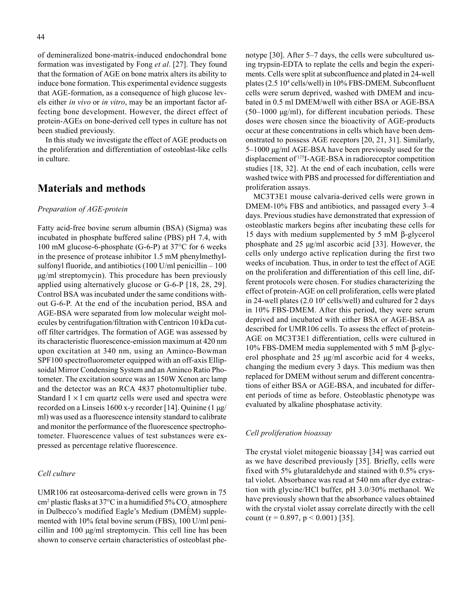of demineralized bone-matrix-induced endochondral bone formation was investigated by Fong *et al*. [27]. They found that the formation of AGE on bone matrix alters its ability to induce bone formation. This experimental evidence suggests that AGE-formation, as a consequence of high glucose levels either *in vivo* or *in vitro*, may be an important factor affecting bone development. However, the direct effect of protein-AGEs on bone-derived cell types in culture has not been studied previously.

In this study we investigate the effect of AGE products on the proliferation and differentiation of osteoblast-like cells in culture.

## **Materials and methods**

#### *Preparation of AGE-protein*

Fatty acid-free bovine serum albumin (BSA) (Sigma) was incubated in phosphate buffered saline (PBS) pH 7.4, with 100 mM glucose-6-phosphate (G-6-P) at 37°C for 6 weeks in the presence of protease inhibitor 1.5 mM phenylmethylsulfonyl fluoride, and antibiotics  $(100 \text{ U/ml penicillin} - 100$ µg/ml streptomycin). This procedure has been previously applied using alternatively glucose or G-6-P [18, 28, 29]. Control BSA was incubated under the same conditions without G-6-P. At the end of the incubation period, BSA and AGE-BSA were separated from low molecular weight molecules by centrifugation/filtration with Centricon 10 kDa cutoff filter cartridges. The formation of AGE was assessed by its characteristic fluorescence-emission maximum at 420 nm upon excitation at 340 nm, using an Aminco-Bowman SPF100 spectrofluorometer equipped with an off-axis Ellipsoidal Mirror Condensing System and an Aminco Ratio Photometer. The excitation source was an 150W Xenon arc lamp and the detector was an RCA 4837 photomultiplier tube. Standard  $1 \times 1$  cm quartz cells were used and spectra were recorded on a Linseis 1600 x-y recorder [14]. Quinine (1 µg/ ml) was used as a fluorescence intensity standard to calibrate and monitor the performance of the fluorescence spectrophotometer. Fluorescence values of test substances were expressed as percentage relative fluorescence.

#### *Cell culture*

UMR106 rat osteosarcoma-derived cells were grown in 75 cm<sup>2</sup> plastic flasks at 37°C in a humidified 5%  $\mathrm{CO}_2$  atmosphere in Dulbecco's modified Eagle's Medium (DMEM) supplemented with 10% fetal bovine serum (FBS), 100 U/ml penicillin and 100 µg/ml streptomycin. This cell line has been shown to conserve certain characteristics of osteoblast phenotype [30]. After 5–7 days, the cells were subcultured using trypsin-EDTA to replate the cells and begin the experiments. Cells were split at subconfluence and plated in 24-well plates (2.5 104 cells/well) in 10% FBS-DMEM. Subconfluent cells were serum deprived, washed with DMEM and incubated in 0.5 ml DMEM/well with either BSA or AGE-BSA  $(50-1000 \mu g/ml)$ , for different incubation periods. These doses were chosen since the bioactivity of AGE-products occur at these concentrations in cells which have been demonstrated to possess AGE receptors [20, 21, 31]. Similarly, 5–1000 µg/ml AGE-BSA have been previously used for the displacement of 125I-AGE-BSA in radioreceptor competition studies [18, 32]. At the end of each incubation, cells were washed twice with PBS and processed for differentiation and proliferation assays.

MC3T3E1 mouse calvaria-derived cells were grown in DMEM-10% FBS and antibiotics, and passaged every 3–4 days. Previous studies have demonstrated that expression of osteoblastic markers begins after incubating these cells for 15 days with medium supplemented by 5 mM β-glycerol phosphate and 25 µg/ml ascorbic acid [33]. However, the cells only undergo active replication during the first two weeks of incubation. Thus, in order to test the effect of AGE on the proliferation and differentiation of this cell line, different protocols were chosen. For studies characterizing the effect of protein-AGE on cell proliferation, cells were plated in 24-well plates (2.0 10<sup>4</sup> cells/well) and cultured for 2 days in 10% FBS-DMEM. After this period, they were serum deprived and incubated with either BSA or AGE-BSA as described for UMR106 cells. To assess the effect of protein-AGE on MC3T3E1 differentiation, cells were cultured in 10% FBS-DMEM media supplemented with 5 mM β-glycerol phosphate and 25 µg/ml ascorbic acid for 4 weeks, changing the medium every 3 days. This medium was then replaced for DMEM without serum and different concentrations of either BSA or AGE-BSA, and incubated for different periods of time as before. Osteoblastic phenotype was evaluated by alkaline phosphatase activity.

#### *Cell proliferation bioassay*

The crystal violet mitogenic bioassay [34] was carried out as we have described previously [35]. Briefly, cells were fixed with 5% glutaraldehyde and stained with 0.5% crystal violet. Absorbance was read at 540 nm after dye extraction with glycine/HCl buffer, pH 3.0/30% methanol. We have previously shown that the absorbance values obtained with the crystal violet assay correlate directly with the cell count (r = 0.897, p < 0.001) [35].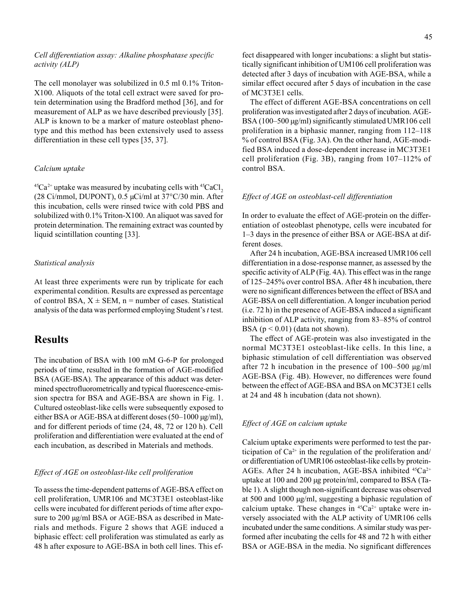#### *Cell differentiation assay: Alkaline phosphatase specific activity (ALP)*

The cell monolayer was solubilized in 0.5 ml 0.1% Triton-X100. Aliquots of the total cell extract were saved for protein determination using the Bradford method [36], and for measurement of ALP as we have described previously [35]. ALP is known to be a marker of mature osteoblast phenotype and this method has been extensively used to assess differentiation in these cell types [35, 37].

#### *Calcium uptake*

 ${}^{45}Ca^{2+}$  uptake was measured by incubating cells with  ${}^{45}CaCl$ , (28 Ci/mmol, DUPONT), 0.5 µCi/ml at 37°C/30 min. After this incubation, cells were rinsed twice with cold PBS and solubilized with 0.1% Triton-X100. An aliquot was saved for protein determination. The remaining extract was counted by liquid scintillation counting [33].

#### *Statistical analysis*

At least three experiments were run by triplicate for each experimental condition. Results are expressed as percentage of control BSA,  $X \pm SEM$ , n = number of cases. Statistical analysis of the data was performed employing Student's *t* test.

### **Results**

The incubation of BSA with 100 mM G-6-P for prolonged periods of time, resulted in the formation of AGE-modified BSA (AGE-BSA). The appearance of this adduct was determined spectrofluorometrically and typical fluorescence-emission spectra for BSA and AGE-BSA are shown in Fig. 1. Cultured osteoblast-like cells were subsequently exposed to either BSA or AGE-BSA at different doses (50–1000 µg/ml), and for different periods of time (24, 48, 72 or 120 h). Cell proliferation and differentiation were evaluated at the end of each incubation, as described in Materials and methods.

#### *Effect of AGE on osteoblast-like cell proliferation*

To assess the time-dependent patterns of AGE-BSA effect on cell proliferation, UMR106 and MC3T3E1 osteoblast-like cells were incubated for different periods of time after exposure to 200 µg/ml BSA or AGE-BSA as described in Materials and methods. Figure 2 shows that AGE induced a biphasic effect: cell proliferation was stimulated as early as 48 h after exposure to AGE-BSA in both cell lines. This effect disappeared with longer incubations: a slight but statistically significant inhibition of UM106 cell proliferation was detected after 3 days of incubation with AGE-BSA, while a similar effect occured after 5 days of incubation in the case of MC3T3E1 cells.

The effect of different AGE-BSA concentrations on cell proliferation was investigated after 2 days of incubation. AGE-BSA (100–500 µg/ml) significantly stimulated UMR106 cell proliferation in a biphasic manner, ranging from 112–118 % of control BSA (Fig. 3A). On the other hand, AGE-modified BSA induced a dose-dependent increase in MC3T3E1 cell proliferation (Fig. 3B), ranging from 107–112% of control BSA.

#### *Effect of AGE on osteoblast-cell differentiation*

In order to evaluate the effect of AGE-protein on the differentiation of osteoblast phenotype, cells were incubated for 1–3 days in the presence of either BSA or AGE-BSA at different doses.

After 24 h incubation, AGE-BSA increased UMR106 cell differentiation in a dose-response manner, as assessed by the specific activity of ALP (Fig. 4A). This effect was in the range of 125–245% over control BSA. After 48 h incubation, there were no significant differences between the effect of BSA and AGE-BSA on cell differentiation. A longer incubation period (i.e. 72 h) in the presence of AGE-BSA induced a significant inhibition of ALP activity, ranging from 83–85% of control BSA  $(p < 0.01)$  (data not shown).

The effect of AGE-protein was also investigated in the normal MC3T3E1 osteoblast-like cells. In this line, a biphasic stimulation of cell differentiation was observed after 72 h incubation in the presence of  $100-500 \mu g/ml$ AGE-BSA (Fig. 4B). However, no differences were found between the effect of AGE-BSA and BSA on MC3T3E1 cells at 24 and 48 h incubation (data not shown).

#### *Effect of AGE on calcium uptake*

Calcium uptake experiments were performed to test the participation of  $Ca^{2+}$  in the regulation of the proliferation and/ or differentiation of UMR106 osteoblast-like cells by protein-AGEs. After 24 h incubation, AGE-BSA inhibited  $45Ca^{2+}$ uptake at 100 and 200 µg protein/ml, compared to BSA (Table 1). A slight though non-significant decrease was observed at 500 and 1000 µg/ml, suggesting a biphasic regulation of calcium uptake. These changes in  $45Ca^{2+}$  uptake were inversely associated with the ALP activity of UMR106 cells incubated under the same conditions. A similar study was performed after incubating the cells for 48 and 72 h with either BSA or AGE-BSA in the media. No significant differences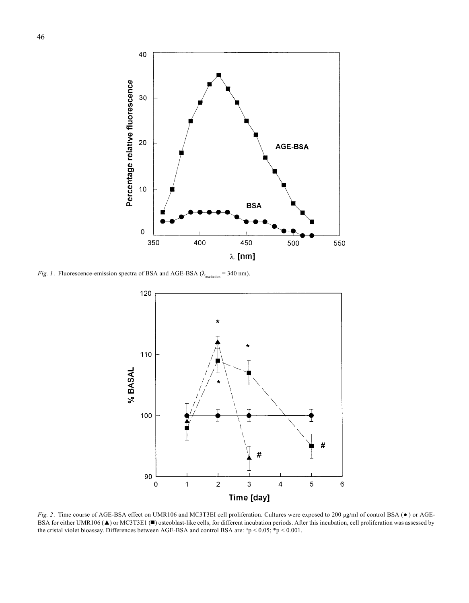

*Fig. 1*. Fluorescence-emission spectra of BSA and AGE-BSA ( $\lambda_{\text{excitation}} = 340 \text{ nm}$ ).



*Fig. 2*. Time course of AGE-BSA effect on UMR106 and MC3T3EI cell proliferation. Cultures were exposed to 200 µg/ml of control BSA (● ) or AGE-BSA for either UMR106 (▲) or MC3T3E1 (■) osteoblast-like cells, for different incubation periods. After this incubation, cell proliferation was assessed by the cristal violet bioassay. Differences between AGE-BSA and control BSA are:  $\pi p < 0.05$ ;  $\pi p < 0.001$ .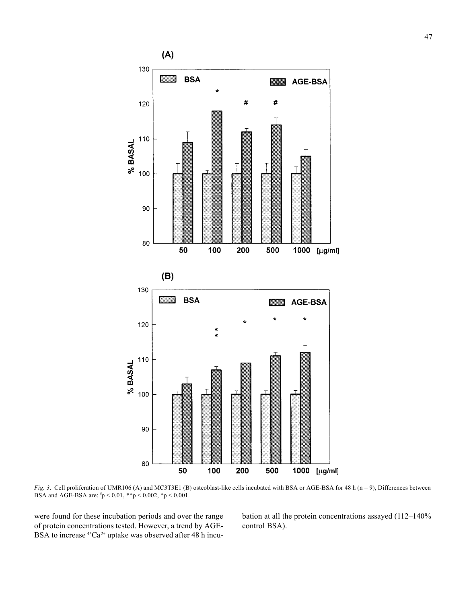

*Fig. 3.* Cell proliferation of UMR106 (A) and MC3T3E1 (B) osteoblast-like cells incubated with BSA or AGE-BSA for 48 h (n = 9), Differences between BSA and AGE-BSA are:  $\frac{h}{p}$  < 0.01, \*\*p < 0.002, \*p < 0.001.

were found for these incubation periods and over the range of protein concentrations tested. However, a trend by AGE-BSA to increase <sup>45</sup>Ca<sup>2+</sup> uptake was observed after 48 h incubation at all the protein concentrations assayed (112–140% control BSA).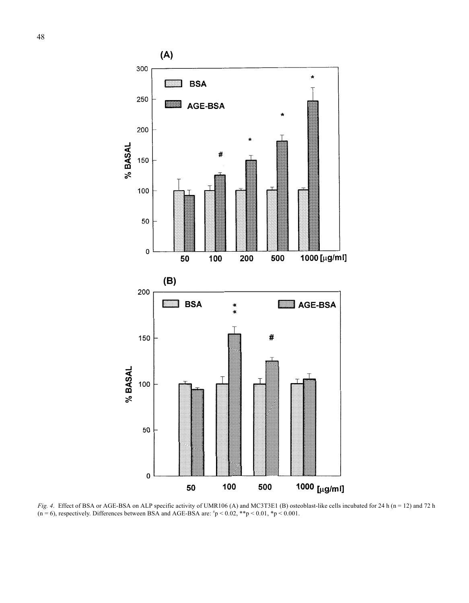

*Fig. 4.* Effect of BSA or AGE-BSA on ALP specific activity of UMR106 (A) and MC3T3E1 (B) osteoblast-like cells incubated for 24 h (n = 12) and 72 h  $(n = 6)$ , respectively. Differences between BSA and AGE-BSA are:  $\pi p < 0.02$ ,  $\pi p < 0.01$ ,  $\pi p < 0.001$ .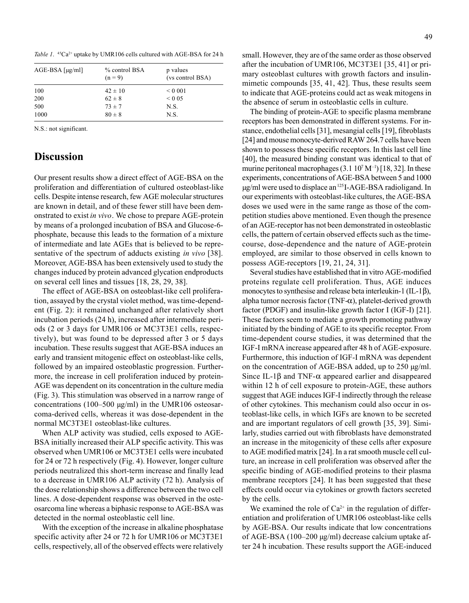Table 1.  $45Ca^{2+}$  uptake by UMR106 cells cultured with AGE-BSA for 24 h

| $AGE-BSA$ [ $\mu$ g/ml] | % control BSA<br>$(n = 9)$ | p values<br>(vs control BSA) |
|-------------------------|----------------------------|------------------------------|
| 100                     | $42 \pm 10$                | ${}_{0.001}$                 |
| 200                     | $62 \pm 8$                 | ${}< 0.05$                   |
| 500                     | $73 \pm 7$                 | N.S.                         |
| 1000                    | $80 \pm 8$                 | N.S.                         |

N.S.: not significant.

## **Discussion**

Our present results show a direct effect of AGE-BSA on the proliferation and differentiation of cultured osteoblast-like cells. Despite intense research, few AGE molecular structures are known in detail, and of these fewer still have been demonstrated to exist *in vivo*. We chose to prepare AGE-protein by means of a prolonged incubation of BSA and Glucose-6 phosphate, because this leads to the formation of a mixture of intermediate and late AGEs that is believed to be representative of the spectrum of adducts existing *in vivo* [38]. Moreover, AGE-BSA has been extensively used to study the changes induced by protein advanced glycation endproducts on several cell lines and tissues [18, 28, 29, 38].

The effect of AGE-BSA on osteoblast-like cell proliferation, assayed by the crystal violet method, was time-dependent (Fig. 2): it remained unchanged after relatively short incubation periods (24 h), increased after intermediate periods (2 or 3 days for UMR106 or MC3T3E1 cells, respectively), but was found to be depressed after 3 or 5 days incubation. These results suggest that AGE-BSA induces an early and transient mitogenic effect on osteoblast-like cells, followed by an impaired osteoblastic progression. Furthermore, the increase in cell proliferation induced by protein-AGE was dependent on its concentration in the culture media (Fig. 3). This stimulation was observed in a narrow range of concentrations (100–500 µg/ml) in the UMR106 osteosarcoma-derived cells, whereas it was dose-dependent in the normal MC3T3E1 osteoblast-like cultures.

When ALP activity was studied, cells exposed to AGE-BSA initially increased their ALP specific activity. This was observed when UMR106 or MC3T3E1 cells were incubated for 24 or 72 h respectively (Fig. 4). However, longer culture periods neutralized this short-term increase and finally lead to a decrease in UMR106 ALP activity (72 h). Analysis of the dose relationship shows a difference between the two cell lines. A dose-dependent response was observed in the osteosarcoma line whereas a biphasic response to AGE-BSA was detected in the normal osteoblastic cell line.

With the exception of the increase in alkaline phosphatase specific activity after 24 or 72 h for UMR106 or MC3T3E1 cells, respectively, all of the observed effects were relatively small. However, they are of the same order as those observed after the incubation of UMR106, MC3T3E1 [35, 41] or primary osteoblast cultures with growth factors and insulinmimetic compounds [35, 41, 42]. Thus, these results seem to indicate that AGE-proteins could act as weak mitogens in the absence of serum in osteoblastic cells in culture.

The binding of protein-AGE to specific plasma membrane receptors has been demonstrated in different systems. For instance, endothelial cells [31], mesangial cells [19], fibroblasts [24] and mouse monocyte-derived RAW 264.7 cells have been shown to possess these specific receptors. In this last cell line [40], the measured binding constant was identical to that of murine peritoneal macrophages  $(3.1\,10^7\,\mathrm{M}^{-1})$  [18, 32]. In these experiments, concentrations of AGE-BSA between 5 and 1000 µg/ml were used to displace an 125I-AGE-BSA radioligand. In our experiments with osteoblast-like cultures, the AGE-BSA doses we used were in the same range as those of the competition studies above mentioned. Even though the presence of an AGE-receptor has not been demonstrated in osteoblastic cells, the pattern of certain observed effects such as the timecourse, dose-dependence and the nature of AGE-protein employed, are similar to those observed in cells known to possess AGE-receptors [19, 21, 24, 31].

Several studies have established that in vitro AGE-modified proteins regulate cell proliferation. Thus, AGE induces monocytes to synthesise and release beta interleukin-1 (IL-1β), alpha tumor necrosis factor (TNF- $\alpha$ ), platelet-derived growth factor (PDGF) and insulin-like growth factor I (IGF-I) [21]. These factors seem to mediate a growth promoting pathway initiated by the binding of AGE to its specific receptor. From time-dependent course studies, it was determined that the IGF-I mRNA increase appeared after 48 h of AGE-exposure. Furthermore, this induction of IGF-I mRNA was dependent on the concentration of AGE-BSA added, up to 250 µg/ml. Since IL-1 $\beta$  and TNF- $\alpha$  appeared earlier and disappeared within 12 h of cell exposure to protein-AGE, these authors suggest that AGE induces IGF-I indirectly through the release of other cytokines. This mechanism could also occur in osteoblast-like cells, in which IGFs are known to be secreted and are important regulators of cell growth [35, 39]. Similarly, studies carried out with fibroblasts have demonstrated an increase in the mitogenicity of these cells after exposure to AGE modified matrix [24]. In a rat smooth muscle cell culture, an increase in cell proliferation was observed after the specific binding of AGE-modified proteins to their plasma membrane receptors [24]. It has been suggested that these effects could occur via cytokines or growth factors secreted by the cells.

We examined the role of  $Ca^{2+}$  in the regulation of differentiation and proliferation of UMR106 osteoblast-like cells by AGE-BSA. Our results indicate that low concentrations of AGE-BSA (100–200 µg/ml) decrease calcium uptake after 24 h incubation. These results support the AGE-induced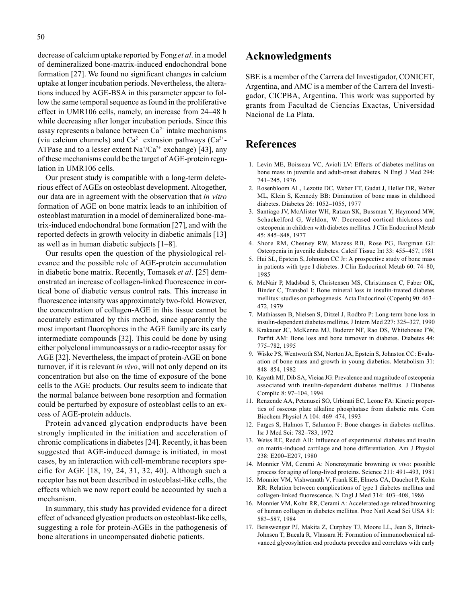decrease of calcium uptake reported by Fong *et al*. in a model of demineralized bone-matrix-induced endochondral bone formation [27]. We found no significant changes in calcium uptake at longer incubation periods. Nevertheless, the alterations induced by AGE-BSA in this parameter appear to follow the same temporal sequence as found in the proliferative effect in UMR106 cells, namely, an increase from 24–48 h while decreasing after longer incubation periods. Since this assay represents a balance between  $Ca^{2+}$  intake mechanisms (via calcium channels) and  $Ca^{2+}$  extrusion pathways ( $Ca^{2+}$ -ATPase and to a lesser extent  $\text{Na}^+\text{/Ca}^{2+}$  exchange) [43], any of these mechanisms could be the target of AGE-protein regulation in UMR106 cells.

Our present study is compatible with a long-term deleterious effect of AGEs on osteoblast development. Altogether, our data are in agreement with the observation that *in vitro* formation of AGE on bone matrix leads to an inhibition of osteoblast maturation in a model of demineralized bone-matrix-induced endochondral bone formation [27], and with the reported defects in growth velocity in diabetic animals [13] as well as in human diabetic subjects [1–8].

Our results open the question of the physiological relevance and the possible role of AGE-protein accumulation in diabetic bone matrix. Recently, Tomasek *et al*. [25] demonstrated an increase of collagen-linked fluorescence in cortical bone of diabetic versus control rats. This increase in fluorescence intensity was approximately two-fold. However, the concentration of collagen-AGE in this tissue cannot be accurately estimated by this method, since apparently the most important fluorophores in the AGE family are its early intermediate compounds [32]. This could be done by using either polyclonal immunoassays or a radio-receptor assay for AGE [32]. Nevertheless, the impact of protein-AGE on bone turnover, if it is relevant *in vivo*, will not only depend on its concentration but also on the time of exposure of the bone cells to the AGE products. Our results seem to indicate that the normal balance between bone resorption and formation could be perturbed by exposure of osteoblast cells to an excess of AGE-protein adducts.

Protein advanced glycation endproducts have been strongly implicated in the initiation and acceleration of chronic complications in diabetes [24]. Recently, it has been suggested that AGE-induced damage is initiated, in most cases, by an interaction with cell-membrane receptors specific for AGE [18, 19, 24, 31, 32, 40]. Although such a receptor has not been described in osteoblast-like cells, the effects which we now report could be accounted by such a mechanism.

In summary, this study has provided evidence for a direct effect of advanced glycation products on osteoblast-like cells, suggesting a role for protein-AGEs in the pathogenesis of bone alterations in uncompensated diabetic patients.

## **Acknowledgments**

SBE is a member of the Carrera del Investigador, CONICET, Argentina, and AMC is a member of the Carrera del Investigador, CICPBA, Argentina. This work was supported by grants from Facultad de Ciencias Exactas, Universidad Nacional de La Plata.

## **References**

- 1. Levin ME, Boisseau VC, Avioli LV: Effects of diabetes mellitus on bone mass in juvenile and adult-onset diabetes. N Engl J Med 294: 741–245, 1976
- 2. Rosenbloom AL, Lezotte DC, Weber FT, Gudat J, Heller DR, Weber ML, Klein S, Kennedy BB: Diminution of bone mass in childhood diabetes. Diabetes 26: 1052–1055, 1977
- 3. Santiago JV, McAlister WH, Ratzan SK, Bussman Y, Haymond MW, Schackelford G, Weldon, W: Decreased cortical thickness and osteopenia in children with diabetes mellitus. J Clin Endocrinol Metab 45: 845–848, 1977
- 4. Shore RM, Chesney RW, Mazess RB, Rose PG, Bargman GJ: Osteopenia in juvenile diabetes. Calcif Tissue Int 33: 455–457, 1981
- 5. Hui SL, Epstein S, Johnston CC Jr: A prospective study of bone mass in patients with type I diabetes. J Clin Endocrinol Metab 60: 74–80, 1985
- 6. McNair P, Madsbad S, Christensen MS, Christiansen C, Faber OK, Binder C, Transbol I: Bone mineral loss in insulin-treated diabetes mellitus: studies on pathogenesis. Acta Endocrinol (Copenh) 90: 463– 472, 1979
- 7. Mathiassen B, Nielsen S, Ditzel J, Rodbro P: Long-term bone loss in insulin-dependent diabetes mellitus. J Intern Med 227: 325–327, 1990
- 8. Krakauer JC, McKenna MJ, Buderer NF, Rao DS, Whitehouse FW, Parfitt AM: Bone loss and bone turnover in diabetes. Diabetes 44: 775–782, 1995
- 9. Wiske PS, Wentworth SM, Norton JA, Epstein S, Johnston CC: Evaluation of bone mass and growth in young diabetics. Metabolism 31: 848–854, 1982
- 10. Kayath MJ, Dib SA, Vieiaa JG: Prevalence and magnitude of osteopenia associated with insulin-dependent diabetes mellitus. J Diabetes Complic 8: 97–104, 1994
- 11. Renzende AA, Petenusci SO, Urbinati EC, Leone FA: Kinetic properties of osseous plate alkaline phosphatase from diabetic rats. Com Biochem Physiol A 104: 469–474, 1993
- 12. Fargcs S, Halmos T, Salumon F: Bone changes in diabetes mellitus. Isr J Med Sci: 782–783, 1972
- 13. Weiss RE, Reddi AH: Influence of experimental diabetes and insulin on matrix-induced cartilage and bone differentiation. Am J Physiol 238: E200–E207, 1980
- 14. Monnier VM, Cerami A: Nonenzymatic browning *in vivo*: possible process for aging of long-lived proteins. Science 211: 491–493, 1981
- 15. Monnier VM, Vishwanath V, Frank KE, Elmets CA, Dauchot P, Kohn RR: Relation between complications of type I diabetes mellitus and collagen-linked fluorescence. N Engl J Med 314: 403–408, 1986
- 16. Monnier VM, Kohn RR, Cerami A: Accelerated age-related browning of human collagen in diabetes mellitus. Proc Natl Acad Sci USA 81: 583–587, 1984
- 17. Beisswenger PJ, Makita Z, Curphey TJ, Moore LL, Jean S, Brinck-Johnsen T, Bucala R, Vlassara H: Formation of immunochemical advanced glycosylation end products precedes and correlates with early